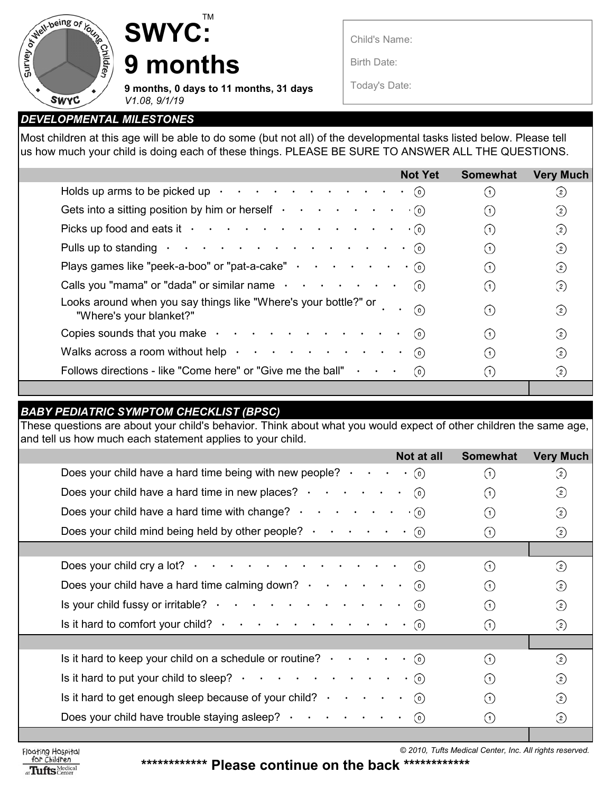

## **SWYC: 9 months**

**9 months, 0 days to 11 months, 31 days**  *V1.08, 9/1/19*

TM

Child's Name:

Birth Date:

Today's Date:

## *DEVELOPMENTAL MILESTONES*

Most children at this age will be able to do some (but not all) of the developmental tasks listed below. Please tell us how much your child is doing each of these things. PLEASE BE SURE TO ANSWER ALL THE QUESTIONS.

|                                                                                                                 | <b>Not Yet</b> | <b>Somewhat</b> | <b>Very Much</b>  |
|-----------------------------------------------------------------------------------------------------------------|----------------|-----------------|-------------------|
| Holds up arms to be picked up $\cdot \cdot \cdot \cdot \cdot \cdot \cdot \cdot \cdot \cdot$                     | (0)            |                 | $^{(2)}$          |
| Gets into a sitting position by him or herself $\cdot \cdot \cdot \cdot \cdot \cdot$                            | (0)            |                 | $\rm _{(2)}$      |
| Picks up food and eats it $\cdot \cdot \cdot \cdot \cdot \cdot \cdot \cdot \cdot \cdot \cdot \cdot \cdot \cdot$ |                | (1)             | $\left( 2\right)$ |
|                                                                                                                 |                | (1)             | $\left( 2\right)$ |
| Plays games like "peek-a-boo" or "pat-a-cake" $\cdot \cdot \cdot \cdot \cdot$                                   |                | (1)             | $\circled{2}$     |
| Calls you "mama" or "dada" or similar name $\cdot \cdot \cdot \cdot \cdot \cdot$                                | (0)            | (1)             | $\left( 2\right)$ |
| Looks around when you say things like "Where's your bottle?" or<br>"Where's your blanket?"                      | ര              | (1)             | ②                 |
| Copies sounds that you make $\cdot \cdot \cdot \cdot \cdot \cdot \cdot \cdot \cdot \cdot \cdot$                 | (0)            | (1)             | ②                 |
| Walks across a room without help $\cdot \cdot \cdot \cdot \cdot \cdot \cdot \cdot \cdot \cdot$                  | (0)            |                 | $\left( 2\right)$ |
| Follows directions - like "Come here" or "Give me the ball" $\cdot \cdot \cdot$                                 | (0)            |                 | $\circled{2}$     |
|                                                                                                                 |                |                 |                   |

## *BABY PEDIATRIC SYMPTOM CHECKLIST (BPSC)*

These questions are about your child's behavior. Think about what you would expect of other children the same age, and tell us how much each statement applies to your child.

| Not at all                                                                                                        | <b>Somewhat</b>  | <b>Very Much</b>  |  |
|-------------------------------------------------------------------------------------------------------------------|------------------|-------------------|--|
| Does your child have a hard time being with new people? $\cdot \cdot \cdot \cdot \cdot$ (o)                       | ∩                | $\circled{2}$     |  |
| Does your child have a hard time in new places? $\cdot \cdot \cdot \cdot \cdot$<br>(0)                            | (1)              | $\circled{2}$     |  |
| Does your child have a hard time with change? $\cdot \cdot \cdot \cdot \cdot$<br>$\cdot$ (0)                      | (1)              | $\circled{2}$     |  |
| Does your child mind being held by other people? $\cdot \cdot \cdot \cdot \cdot \cdot \cdot$                      | $\left(1\right)$ | ②                 |  |
|                                                                                                                   |                  |                   |  |
| Does your child cry a lot? $\cdot \cdot \cdot \cdot \cdot \cdot \cdot \cdot \cdot \cdot \cdot \cdot \cdot$<br>(0) | (1)              | $\circled{2}$     |  |
| Does your child have a hard time calming down? $\cdot \cdot \cdot \cdot \cdot$<br>(0)                             | (1)              | $\circled{2}$     |  |
| Is your child fussy or irritable? $\cdot \cdot \cdot \cdot \cdot \cdot \cdot \cdot \cdot \cdot \cdot$<br>(0)      | (1)              | $\circled{2}$     |  |
|                                                                                                                   | (1)              | $\circled{2}$     |  |
|                                                                                                                   |                  |                   |  |
| Is it hard to keep your child on a schedule or routine? $\cdot \cdot \cdot \cdot \cdot \cdot$ (o)                 | (1)              | $\circled{2}$     |  |
|                                                                                                                   | (1)              | $\left( 2\right)$ |  |
| Is it hard to get enough sleep because of your child? $\cdot \cdot \cdot \cdot$<br>$\odot$                        | (1)              | $\circled{2}$     |  |
| Does your child have trouble staying asleep? $\cdot \cdot \cdot \cdot \cdot \cdot$<br>(0)                         | $\left(1\right)$ | ②                 |  |
|                                                                                                                   |                  |                   |  |

Floating Hospital<br>for Children at Tufts Medical

 $© 2010$ , Tufts Medical Center, Inc. All rights reserved.

**\*\*\*\*\*\*\*\*\*\*\*\* Please continue on the back \*\*\*\*\*\*\*\*\*\*\*\***